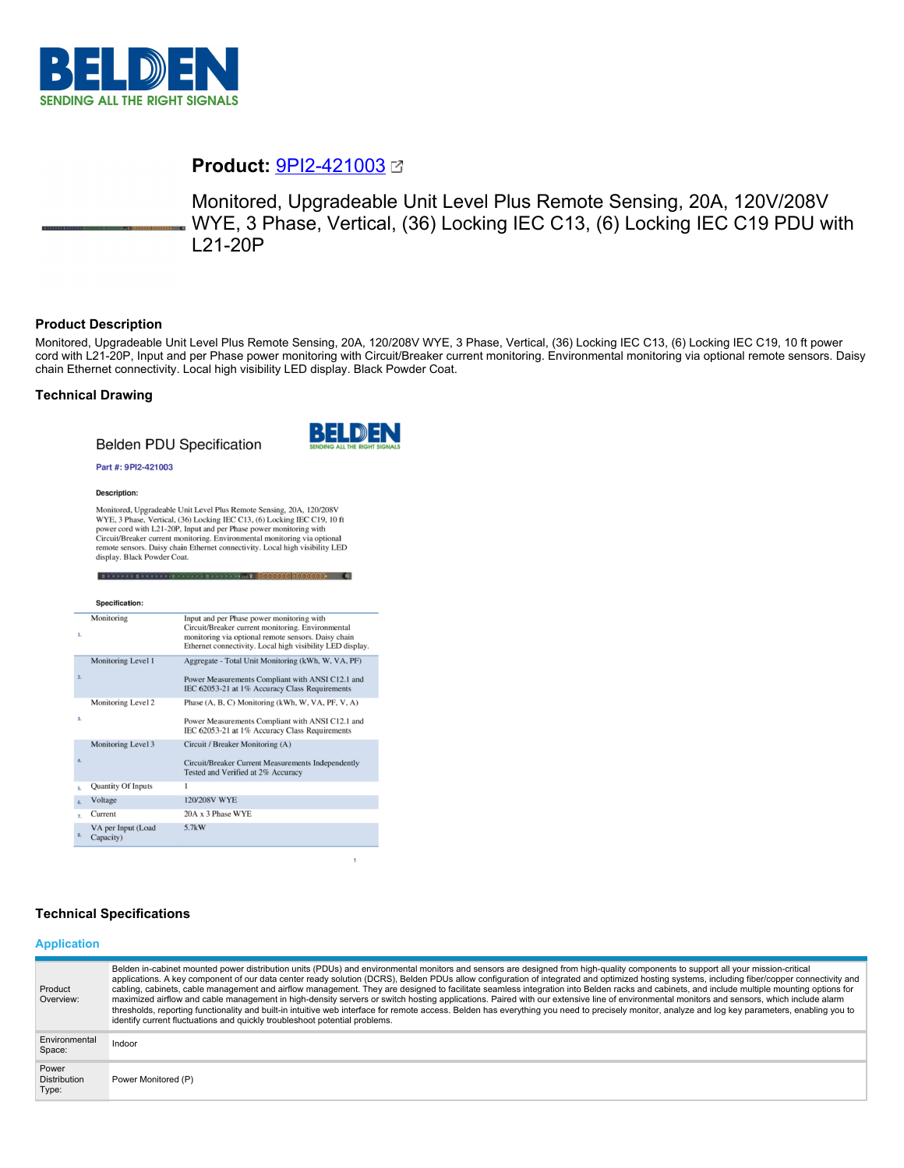

# **Product:** [9PI2-421003](https://catalog.belden.com/index.cfm?event=pd&p=PF_9PI2421003&tab=downloads)

Monitored, Upgradeable Unit Level Plus Remote Sensing, 20A, 120V/208V WYE, 3 Phase, Vertical, (36) Locking IEC C13, (6) Locking IEC C19 PDU with L21-20P

## **Product Description**

Monitored, Upgradeable Unit Level Plus Remote Sensing, 20A, 120/208V WYE, 3 Phase, Vertical, (36) Locking IEC C13, (6) Locking IEC C19, 10 ft power cord with L21-20P, Input and per Phase power monitoring with Circuit/Breaker current monitoring. Environmental monitoring via optional remote sensors. Daisy chain Ethernet connectivity. Local high visibility LED display. Black Powder Coat.

## **Technical Drawing**

## **Belden PDU Specification**



 $\mathbf{1}$ 

#### Part #: 9PI2-421003

#### Description:

Monitored, Upgradeable Unit Level Plus Remote Sensing, 20A, 120/208V<br>WYE, 3 Phase, Vertical, (36) Locking IEC C13, (6) Locking IEC C19, 10 ft The power cord with L21-20P, Input and per Phase power monitoring with<br>Circuit/Breaker current monitoring. Environmental monitoring via optional remote sensors. Daisy chain Ethernet connectivity. Local high visibility LED display. Black Powder Coat.

199999 = 1<mark>000000000000000</mark>

|                | Specification:                  |                                                                                                                                                                                                                    |
|----------------|---------------------------------|--------------------------------------------------------------------------------------------------------------------------------------------------------------------------------------------------------------------|
| 1.             | Monitoring                      | Input and per Phase power monitoring with<br>Circuit/Breaker current monitoring. Environmental<br>monitoring via optional remote sensors. Daisy chain<br>Ethernet connectivity. Local high visibility LED display. |
| 2.             | Monitoring Level 1              | Aggregate - Total Unit Monitoring (kWh, W, VA, PF)<br>Power Measurements Compliant with ANSI C12.1 and<br>IEC 62053-21 at 1% Accuracy Class Requirements                                                           |
| 3.             | Monitoring Level 2              | Phase (A, B, C) Monitoring (kWh, W, VA, PF, V, A)<br>Power Measurements Compliant with ANSI C12.1 and<br>IEC 62053-21 at 1% Accuracy Class Requirements                                                            |
| 4.             | Monitoring Level 3              | Circuit / Breaker Monitoring (A)<br>Circuit/Breaker Current Measurements Independently<br>Tested and Verified at 2% Accuracy                                                                                       |
| s.             | <b>Quantity Of Inputs</b>       | 1                                                                                                                                                                                                                  |
| 6.             | Voltage                         | 120/208V WYE                                                                                                                                                                                                       |
| $\overline{z}$ | Current                         | 20A x 3 Phase WYE                                                                                                                                                                                                  |
| 8.             | VA per Input (Load<br>Capacity) | 5.7kW                                                                                                                                                                                                              |

## **Technical Specifications**

#### **Application**

| Product<br>Overview:                  | Belden in-cabinet mounted power distribution units (PDUs) and environmental monitors and sensors are designed from high-quality components to support all your mission-critical<br>applications. A key component of our data center ready solution (DCRS), Belden PDUs allow configuration of integrated and optimized hosting systems, including fiber/copper connectivity and<br>cabling, cabinets, cable management and airflow management. They are designed to facilitate seamless integration into Belden racks and cabinets, and include multiple mounting options for<br>maximized airflow and cable management in high-density servers or switch hosting applications. Paired with our extensive line of environmental monitors and sensors, which include alarm<br>thresholds, reporting functionality and built-in intuitive web interface for remote access. Belden has everything you need to precisely monitor, analyze and log key parameters, enabling you to<br>identify current fluctuations and quickly troubleshoot potential problems. |
|---------------------------------------|-------------------------------------------------------------------------------------------------------------------------------------------------------------------------------------------------------------------------------------------------------------------------------------------------------------------------------------------------------------------------------------------------------------------------------------------------------------------------------------------------------------------------------------------------------------------------------------------------------------------------------------------------------------------------------------------------------------------------------------------------------------------------------------------------------------------------------------------------------------------------------------------------------------------------------------------------------------------------------------------------------------------------------------------------------------|
| Environmental<br>Space:               | Indoor                                                                                                                                                                                                                                                                                                                                                                                                                                                                                                                                                                                                                                                                                                                                                                                                                                                                                                                                                                                                                                                      |
| Power<br><b>Distribution</b><br>Type: | Power Monitored (P)                                                                                                                                                                                                                                                                                                                                                                                                                                                                                                                                                                                                                                                                                                                                                                                                                                                                                                                                                                                                                                         |